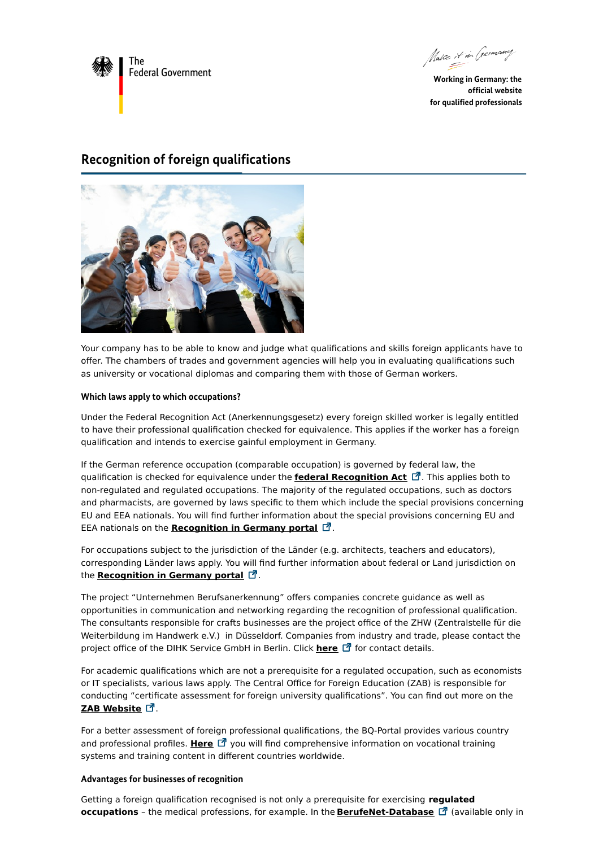

Make it in Germany

**Working in Germany: the official website for qualified professionals**

## **Recognition of foreign qualifications**



Your company has to be able to know and judge what qualifications and skills foreign applicants have to offer. The chambers of trades and government agencies will help you in evaluating qualifications such as university or vocational diplomas and comparing them with those of German workers.

#### **Which laws apply to which occupations?**

Under the Federal Recognition Act (Anerkennungsgesetz) every foreign skilled worker is legally entitled to have their professional qualification checked for equivalence. This applies if the worker has a foreign qualification and intends to exercise gainful employment in Germany.

If the German reference occupation (comparable occupation) is governed by federal law, the qualification is checked for equivalence under the **federal [Recognition](https://www.anerkennung-in-deutschland.de/html/de/pro/anerkennungsgesetz.php#) Act** . This applies both to non-regulated and regulated occupations. The majority of the regulated occupations, such as doctors and pharmacists, are governed by laws specific to them which include the special provisions concerning EU and EEA nationals. You will find further information about the special provisions concerning EU and EEA nationals on the **[Recognition](https://www.anerkennung-in-deutschland.de/html/en/pro/eu-recognition-directive.php) in Germany portal** .

For occupations subject to the jurisdiction of the Länder (e.g. architects, teachers and educators), corresponding Länder laws apply. You will find further information about federal or Land jurisdiction on the **[Recognition](https://www.anerkennung-in-deutschland.de/html/de/laendergesetze.php) in Germany portal**  $\vec{a}$ .

The project "Unternehmen Berufsanerkennung" offers companies concrete guidance as well as opportunities in communication and networking regarding the recognition of professional qualification. The consultants responsible for crafts businesses are the project office of the ZHW (Zentralstelle für die Weiterbildung im Handwerk e.V.) in Düsseldorf. Companies from industry and trade, please contact the project office of the DIHK Service GmbH in Berlin. Click **[here](https://unternehmen-berufsanerkennung.de/ueber-uns)** [1] for contact details.

For academic qualifications which are not a prerequisite for a regulated occupation, such as economists or IT specialists, various laws apply. The Central Office for Foreign Education (ZAB) is responsible for conducting "certificate assessment for foreign university qualifications". You can find out more on the ZAB [Website](https://www.kmk.org/zab/central-office-for-foreign-education.html) *Z*.

For a better assessment of foreign professional qualifications, the BQ-Portal provides various country and professional profiles. [Here](https://www.bq-portal.de/en/db/laender-und-berufsprofile) <sup>[2]</sup> you will find comprehensive information on vocational training systems and training content in different countries worldwide.

#### **Advantages for businesses of recognition**

Getting a foreign qualification recognised is not only a prerequisite for exercising **regulated occupations** - the medical professions, for example. In the **[BerufeNet-Database](https://berufenet.arbeitsagentur.de/berufenet/faces/index;BERUFENETJSESSIONID=CDKALxU82ltHzrtXjuYZw0AdliJj3LFqvhhB9S0-siH5tzOq0XaC!1303052796?path=null/reglementierteBerufe)** [7] (available only in